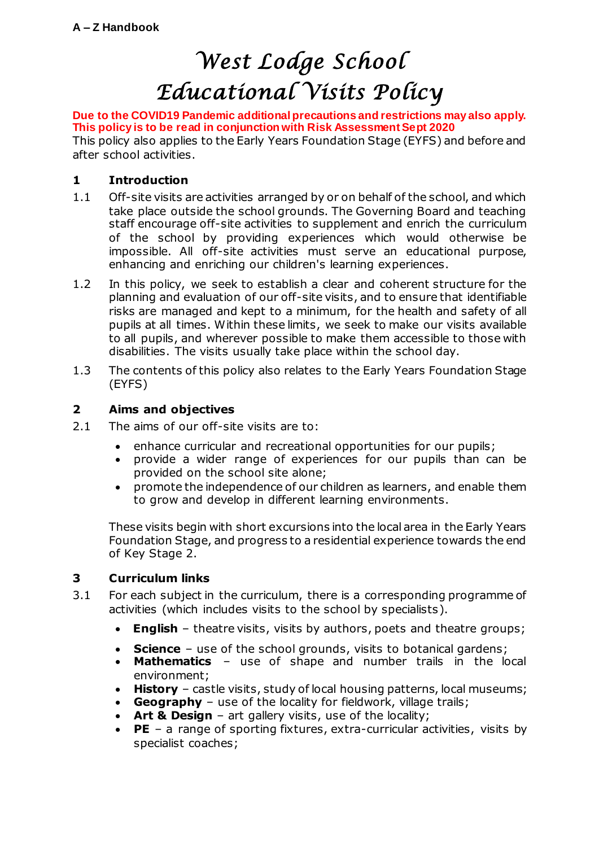# *West Lodge School Educational Visits Policy*

**Due to the COVID19 Pandemic additional precautions and restrictions may also apply. This policy is to be read in conjunction with Risk Assessment Sept 2020**

This policy also applies to the Early Years Foundation Stage (EYFS) and before and after school activities.

#### **1 Introduction**

- 1.1 Off-site visits are activities arranged by or on behalf of the school, and which take place outside the school grounds. The Governing Board and teaching staff encourage off-site activities to supplement and enrich the curriculum of the school by providing experiences which would otherwise be impossible. All off-site activities must serve an educational purpose, enhancing and enriching our children's learning experiences.
- 1.2 In this policy, we seek to establish a clear and coherent structure for the planning and evaluation of our off-site visits, and to ensure that identifiable risks are managed and kept to a minimum, for the health and safety of all pupils at all times. Within these limits, we seek to make our visits available to all pupils, and wherever possible to make them accessible to those with disabilities. The visits usually take place within the school day.
- 1.3 The contents of this policy also relates to the Early Years Foundation Stage (EYFS)

## **2 Aims and objectives**

- 2.1 The aims of our off-site visits are to:
	- enhance curricular and recreational opportunities for our pupils;
	- provide a wider range of experiences for our pupils than can be provided on the school site alone;
	- promote the independence of our children as learners, and enable them to grow and develop in different learning environments.

These visits begin with short excursions into the local area in the Early Years Foundation Stage, and progress to a residential experience towards the end of Key Stage 2.

## **3 Curriculum links**

- 3.1 For each subject in the curriculum, there is a corresponding programme of activities (which includes visits to the school by specialists).
	- **English** theatre visits, visits by authors, poets and theatre groups;
	- **Science** use of the school grounds, visits to botanical gardens;
	- **Mathematics** use of shape and number trails in the local environment;
	- **History** castle visits, study of local housing patterns, local museums;
	- **Geography** use of the locality for fieldwork, village trails;
	- Art & Design art gallery visits, use of the locality;
	- **PE** a range of sporting fixtures, extra-curricular activities, visits by specialist coaches;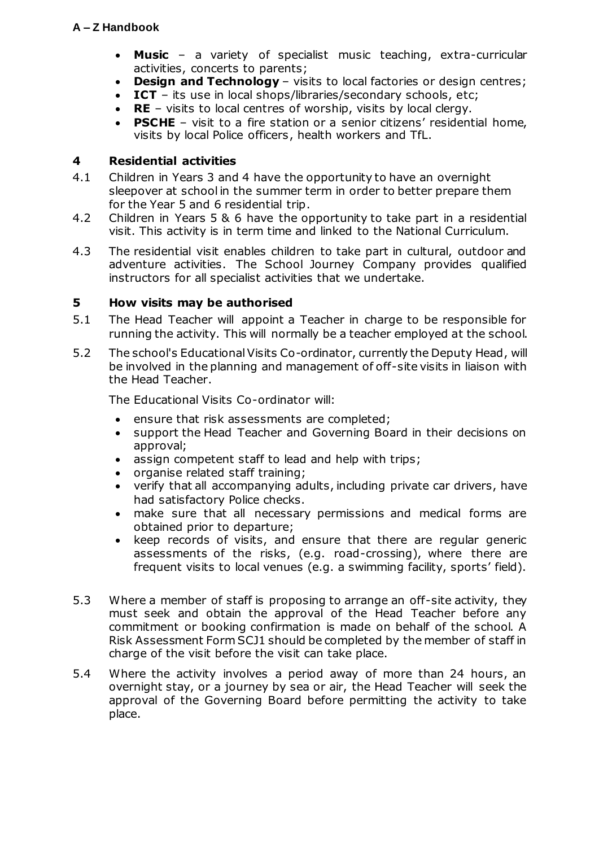- **Music** a variety of specialist music teaching, extra-curricular activities, concerts to parents;
- **Design and Technology** visits to local factories or design centres;
- **ICT** its use in local shops/libraries/secondary schools, etc;
- **RE** visits to local centres of worship, visits by local clergy.
- **PSCHE**  visit to a fire station or a senior citizens' residential home, visits by local Police officers, health workers and TfL.

#### **4 Residential activities**

- 4.1 Children in Years 3 and 4 have the opportunity to have an overnight sleepover at school in the summer term in order to better prepare them for the Year 5 and 6 residential trip.
- 4.2 Children in Years 5 & 6 have the opportunity to take part in a residential visit. This activity is in term time and linked to the National Curriculum.
- 4.3 The residential visit enables children to take part in cultural, outdoor and adventure activities. The School Journey Company provides qualified instructors for all specialist activities that we undertake.

#### **5 How visits may be authorised**

- 5.1 The Head Teacher will appoint a Teacher in charge to be responsible for running the activity. This will normally be a teacher employed at the school.
- 5.2 The school's Educational Visits Co-ordinator, currently the Deputy Head, will be involved in the planning and management of off-site visits in liaison with the Head Teacher.

The Educational Visits Co-ordinator will:

- ensure that risk assessments are completed;
- support the Head Teacher and Governing Board in their decisions on approval;
- assign competent staff to lead and help with trips;
- organise related staff training;
- verify that all accompanying adults, including private car drivers, have had satisfactory Police checks.
- make sure that all necessary permissions and medical forms are obtained prior to departure;
- keep records of visits, and ensure that there are regular generic assessments of the risks, (e.g. road-crossing), where there are frequent visits to local venues (e.g. a swimming facility, sports' field).
- 5.3 Where a member of staff is proposing to arrange an off-site activity, they must seek and obtain the approval of the Head Teacher before any commitment or booking confirmation is made on behalf of the school. A Risk Assessment Form SCJ1 should be completed by the member of staff in charge of the visit before the visit can take place.
- 5.4 Where the activity involves a period away of more than 24 hours, an overnight stay, or a journey by sea or air, the Head Teacher will seek the approval of the Governing Board before permitting the activity to take place.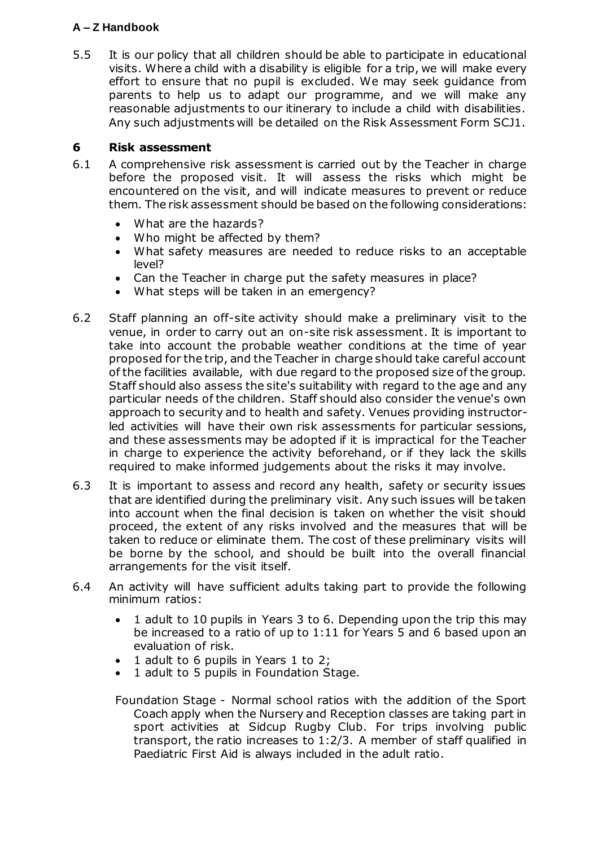5.5 It is our policy that all children should be able to participate in educational visits. Where a child with a disability is eligible for a trip, we will make every effort to ensure that no pupil is excluded. We may seek guidance from parents to help us to adapt our programme, and we will make any reasonable adjustments to our itinerary to include a child with disabilities. Any such adjustments will be detailed on the Risk Assessment Form SCJ1.

#### **6 Risk assessment**

- 6.1 A comprehensive risk assessment is carried out by the Teacher in charge before the proposed visit. It will assess the risks which might be encountered on the visit, and will indicate measures to prevent or reduce them. The risk assessment should be based on the following considerations:
	- What are the hazards?
	- Who might be affected by them?
	- What safety measures are needed to reduce risks to an acceptable level?
	- Can the Teacher in charge put the safety measures in place?
	- What steps will be taken in an emergency?
- 6.2 Staff planning an off-site activity should make a preliminary visit to the venue, in order to carry out an on-site risk assessment. It is important to take into account the probable weather conditions at the time of year proposed for the trip, and the Teacher in charge should take careful account of the facilities available, with due regard to the proposed size of the group. Staff should also assess the site's suitability with regard to the age and any particular needs of the children. Staff should also consider the venue's own approach to security and to health and safety. Venues providing instructorled activities will have their own risk assessments for particular sessions, and these assessments may be adopted if it is impractical for the Teacher in charge to experience the activity beforehand, or if they lack the skills required to make informed judgements about the risks it may involve.
- 6.3 It is important to assess and record any health, safety or security issues that are identified during the preliminary visit. Any such issues will be taken into account when the final decision is taken on whether the visit should proceed, the extent of any risks involved and the measures that will be taken to reduce or eliminate them. The cost of these preliminary visits will be borne by the school, and should be built into the overall financial arrangements for the visit itself.
- 6.4 An activity will have sufficient adults taking part to provide the following minimum ratios:
	- 1 adult to 10 pupils in Years 3 to 6. Depending upon the trip this may be increased to a ratio of up to 1:11 for Years 5 and 6 based upon an evaluation of risk.
	- 1 adult to 6 pupils in Years 1 to 2;
	- 1 adult to 5 pupils in Foundation Stage.

Foundation Stage - Normal school ratios with the addition of the Sport Coach apply when the Nursery and Reception classes are taking part in sport activities at Sidcup Rugby Club. For trips involving public transport, the ratio increases to 1:2/3. A member of staff qualified in Paediatric First Aid is always included in the adult ratio.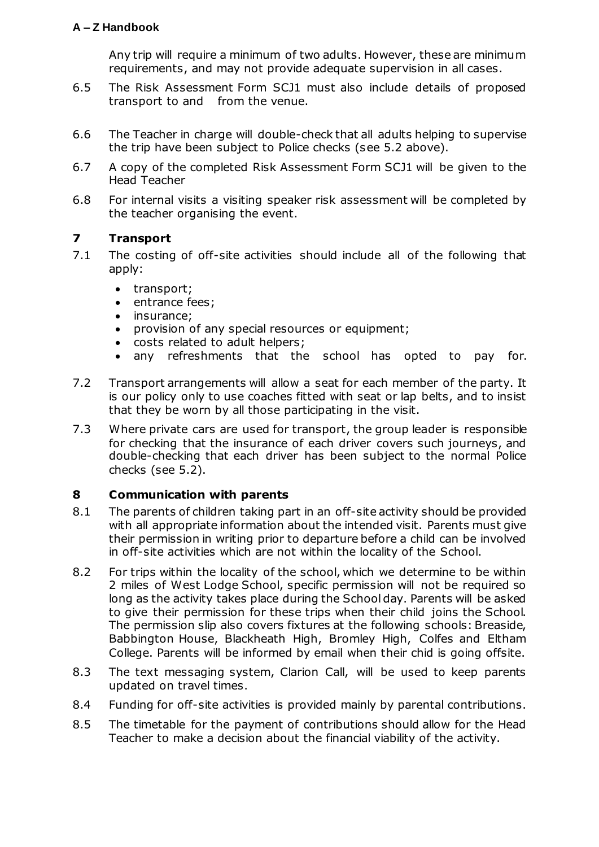Any trip will require a minimum of two adults. However, these are minimum requirements, and may not provide adequate supervision in all cases.

- 6.5 The Risk Assessment Form SCJ1 must also include details of proposed transport to and from the venue.
- 6.6 The Teacher in charge will double-check that all adults helping to supervise the trip have been subject to Police checks (see 5.2 above).
- 6.7 A copy of the completed Risk Assessment Form SCJ1 will be given to the Head Teacher
- 6.8 For internal visits a visiting speaker risk assessment will be completed by the teacher organising the event.

#### **7 Transport**

- 7.1 The costing of off-site activities should include all of the following that apply:
	- transport;
	- entrance fees;
	- insurance:
	- provision of any special resources or equipment;
	- costs related to adult helpers;
	- any refreshments that the school has opted to pay for.
- 7.2 Transport arrangements will allow a seat for each member of the party. It is our policy only to use coaches fitted with seat or lap belts, and to insist that they be worn by all those participating in the visit.
- 7.3 Where private cars are used for transport, the group leader is responsible for checking that the insurance of each driver covers such journeys, and double-checking that each driver has been subject to the normal Police checks (see 5.2).

## **8 Communication with parents**

- 8.1 The parents of children taking part in an off-site activity should be provided with all appropriate information about the intended visit. Parents must give their permission in writing prior to departure before a child can be involved in off-site activities which are not within the locality of the School.
- 8.2 For trips within the locality of the school, which we determine to be within 2 miles of West Lodge School, specific permission will not be required so long as the activity takes place during the School day. Parents will be asked to give their permission for these trips when their child joins the School. The permission slip also covers fixtures at the following schools: Breaside, Babbington House, Blackheath High, Bromley High, Colfes and Eltham College. Parents will be informed by email when their chid is going offsite.
- 8.3 The text messaging system, Clarion Call, will be used to keep parents updated on travel times.
- 8.4 Funding for off-site activities is provided mainly by parental contributions.
- 8.5 The timetable for the payment of contributions should allow for the Head Teacher to make a decision about the financial viability of the activity.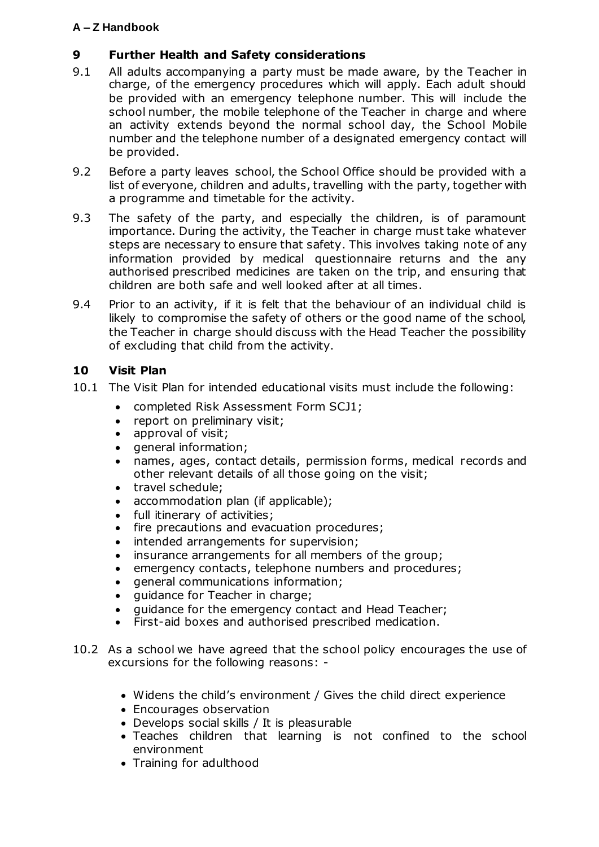#### **9 Further Health and Safety considerations**

- 9.1 All adults accompanying a party must be made aware, by the Teacher in charge, of the emergency procedures which will apply. Each adult should be provided with an emergency telephone number. This will include the school number, the mobile telephone of the Teacher in charge and where an activity extends beyond the normal school day, the School Mobile number and the telephone number of a designated emergency contact will be provided.
- 9.2 Before a party leaves school, the School Office should be provided with a list of everyone, children and adults, travelling with the party, together with a programme and timetable for the activity.
- 9.3 The safety of the party, and especially the children, is of paramount importance. During the activity, the Teacher in charge must take whatever steps are necessary to ensure that safety. This involves taking note of any information provided by medical questionnaire returns and the any authorised prescribed medicines are taken on the trip, and ensuring that children are both safe and well looked after at all times.
- 9.4 Prior to an activity, if it is felt that the behaviour of an individual child is likely to compromise the safety of others or the good name of the school, the Teacher in charge should discuss with the Head Teacher the possibility of excluding that child from the activity.

#### **10 Visit Plan**

- 10.1 The Visit Plan for intended educational visits must include the following:
	- completed Risk Assessment Form SCJ1;
	- report on preliminary visit;
	- approval of visit;
	- general information;
	- names, ages, contact details, permission forms, medical records and other relevant details of all those going on the visit;
	- travel schedule;
	- accommodation plan (if applicable);
	- full itinerary of activities;
	- fire precautions and evacuation procedures;
	- intended arrangements for supervision;
	- insurance arrangements for all members of the group;
	- emergency contacts, telephone numbers and procedures;
	- general communications information;
	- quidance for Teacher in charge;
	- guidance for the emergency contact and Head Teacher;
	- First-aid boxes and authorised prescribed medication.
- 10.2 As a school we have agreed that the school policy encourages the use of excursions for the following reasons: -
	- Widens the child's environment / Gives the child direct experience
	- Encourages observation
	- Develops social skills / It is pleasurable
	- Teaches children that learning is not confined to the school environment
	- Training for adulthood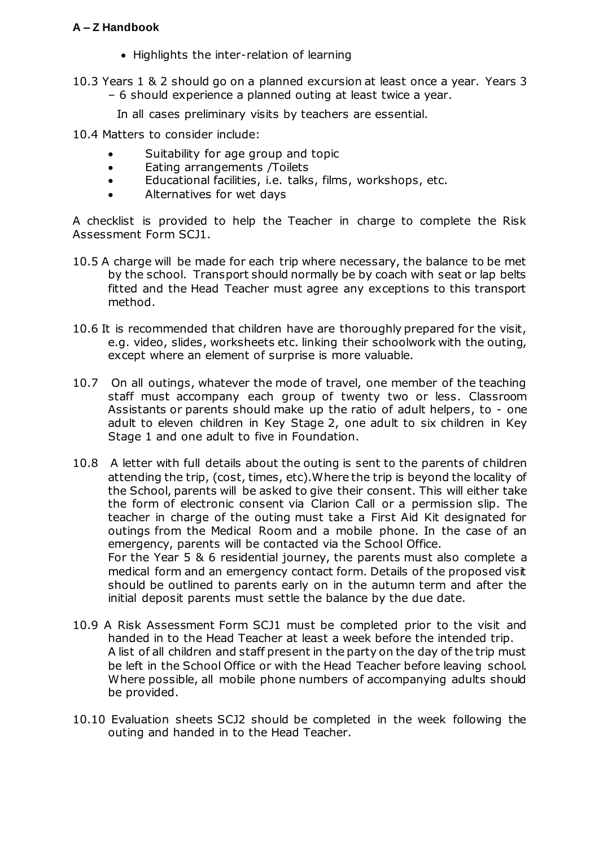- Highlights the inter-relation of learning
- 10.3 Years 1 & 2 should go on a planned excursion at least once a year. Years 3 – 6 should experience a planned outing at least twice a year.
	- In all cases preliminary visits by teachers are essential.
- 10.4 Matters to consider include:
	- Suitability for age group and topic
	- Eating arrangements /Toilets
	- Educational facilities, i.e. talks, films, workshops, etc.
	- Alternatives for wet days

A checklist is provided to help the Teacher in charge to complete the Risk Assessment Form SCJ1.

- 10.5 A charge will be made for each trip where necessary, the balance to be met by the school. Transport should normally be by coach with seat or lap belts fitted and the Head Teacher must agree any exceptions to this transport method.
- 10.6 It is recommended that children have are thoroughly prepared for the visit, e.g. video, slides, worksheets etc. linking their schoolwork with the outing, except where an element of surprise is more valuable.
- 10.7 On all outings, whatever the mode of travel, one member of the teaching staff must accompany each group of twenty two or less. Classroom Assistants or parents should make up the ratio of adult helpers, to - one adult to eleven children in Key Stage 2, one adult to six children in Key Stage 1 and one adult to five in Foundation.
- 10.8 A letter with full details about the outing is sent to the parents of children attending the trip, (cost, times, etc).Where the trip is beyond the locality of the School, parents will be asked to give their consent. This will either take the form of electronic consent via Clarion Call or a permission slip. The teacher in charge of the outing must take a First Aid Kit designated for outings from the Medical Room and a mobile phone. In the case of an emergency, parents will be contacted via the School Office. For the Year 5 & 6 residential journey, the parents must also complete a medical form and an emergency contact form. Details of the proposed visit should be outlined to parents early on in the autumn term and after the initial deposit parents must settle the balance by the due date.
- 10.9 A Risk Assessment Form SCJ1 must be completed prior to the visit and handed in to the Head Teacher at least a week before the intended trip. A list of all children and staff present in the party on the day of the trip must be left in the School Office or with the Head Teacher before leaving school. Where possible, all mobile phone numbers of accompanying adults should be provided.
- 10.10 Evaluation sheets SCJ2 should be completed in the week following the outing and handed in to the Head Teacher.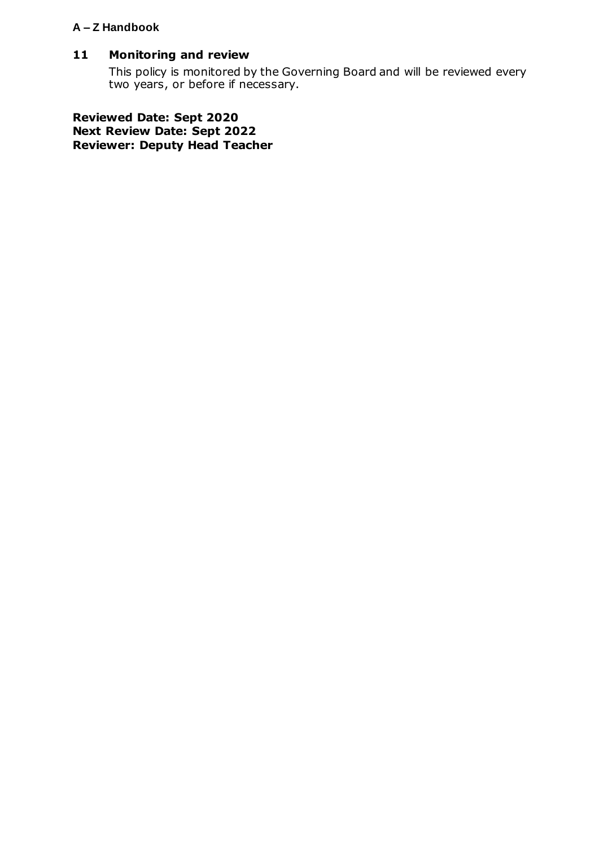# **11 Monitoring and review**

This policy is monitored by the Governing Board and will be reviewed every two years, or before if necessary.

**Reviewed Date: Sept 2020 Next Review Date: Sept 2022 Reviewer: Deputy Head Teacher**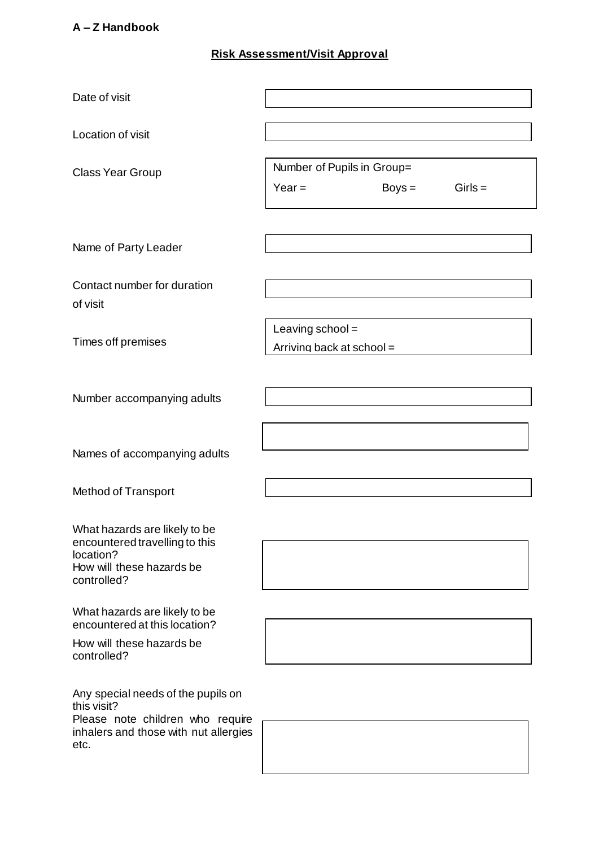# **Risk Assessment/Visit Approval**

| Date of visit                                                                                                                          |                                               |          |           |  |
|----------------------------------------------------------------------------------------------------------------------------------------|-----------------------------------------------|----------|-----------|--|
| Location of visit                                                                                                                      |                                               |          |           |  |
| <b>Class Year Group</b>                                                                                                                | Number of Pupils in Group=                    |          |           |  |
|                                                                                                                                        | Year $=$                                      | $Boys =$ | $Girls =$ |  |
| Name of Party Leader                                                                                                                   |                                               |          |           |  |
| Contact number for duration<br>of visit                                                                                                |                                               |          |           |  |
| Times off premises                                                                                                                     | Leaving school =<br>Arriving back at school = |          |           |  |
| Number accompanying adults                                                                                                             |                                               |          |           |  |
| Names of accompanying adults                                                                                                           |                                               |          |           |  |
| <b>Method of Transport</b>                                                                                                             |                                               |          |           |  |
| What hazards are likely to be<br>encountered travelling to this<br>location?<br>How will these hazards be<br>controlled?               |                                               |          |           |  |
| What hazards are likely to be<br>encountered at this location?                                                                         |                                               |          |           |  |
| How will these hazards be<br>controlled?                                                                                               |                                               |          |           |  |
| Any special needs of the pupils on<br>this visit?<br>Please note children who require<br>inhalers and those with nut allergies<br>etc. |                                               |          |           |  |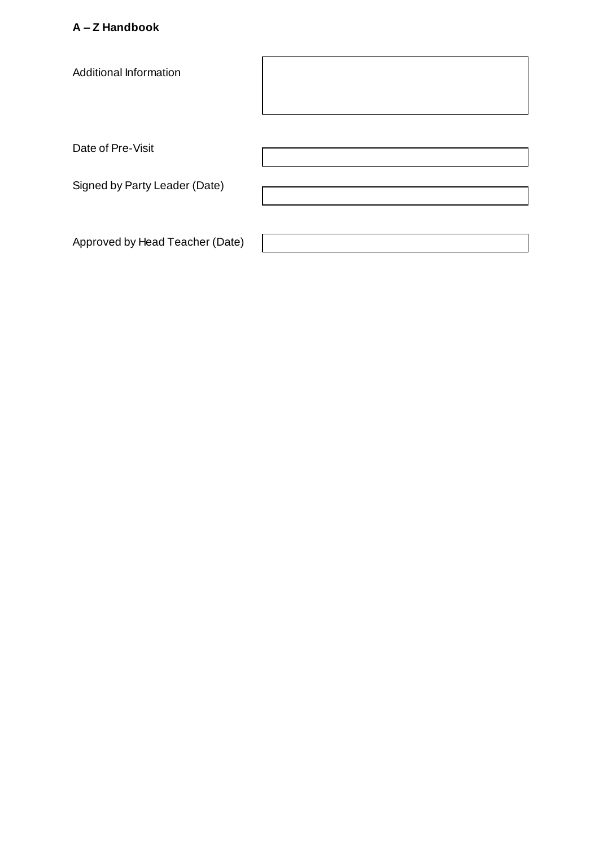| Additional Information          |  |
|---------------------------------|--|
|                                 |  |
| Date of Pre-Visit               |  |
| Signed by Party Leader (Date)   |  |
| Approved by Head Teacher (Date) |  |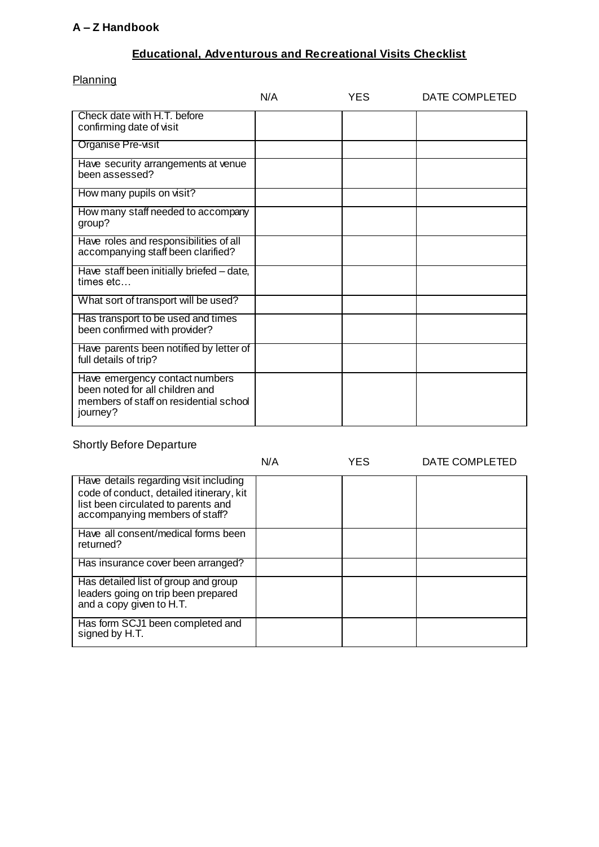# **Educational, Adventurous and Recreational Visits Checklist**

# **Planning**

|                                                                                                                         | N/A | <b>YES</b> | DATE COMPLETED |
|-------------------------------------------------------------------------------------------------------------------------|-----|------------|----------------|
| Check date with H.T. before<br>confirming date of visit                                                                 |     |            |                |
| Organise Pre-visit                                                                                                      |     |            |                |
| Have security arrangements at venue<br>been assessed?                                                                   |     |            |                |
| How many pupils on visit?                                                                                               |     |            |                |
| How many staff needed to accompany<br>group?                                                                            |     |            |                |
| Have roles and responsibilities of all<br>accompanying staff been clarified?                                            |     |            |                |
| Have staff been initially briefed - date,<br>times etc                                                                  |     |            |                |
| What sort of transport will be used?                                                                                    |     |            |                |
| Has transport to be used and times<br>been confirmed with provider?                                                     |     |            |                |
| Have parents been notified by letter of<br>full details of trip?                                                        |     |            |                |
| Have emergency contact numbers<br>been noted for all children and<br>members of staff on residential school<br>journey? |     |            |                |

#### Shortly Before Departure

|                                                                                                                                                             | N/A | YES. | DATE COMPLETED |
|-------------------------------------------------------------------------------------------------------------------------------------------------------------|-----|------|----------------|
| Have details regarding visit including<br>code of conduct, detailed itinerary, kit<br>list been circulated to parents and<br>accompanying members of staff? |     |      |                |
| Have all consent/medical forms been<br>returned?                                                                                                            |     |      |                |
| Has insurance cover been arranged?                                                                                                                          |     |      |                |
| Has detailed list of group and group<br>leaders going on trip been prepared<br>and a copy given to H.T.                                                     |     |      |                |
| Has form SCJ1 been completed and<br>signed by H.T.                                                                                                          |     |      |                |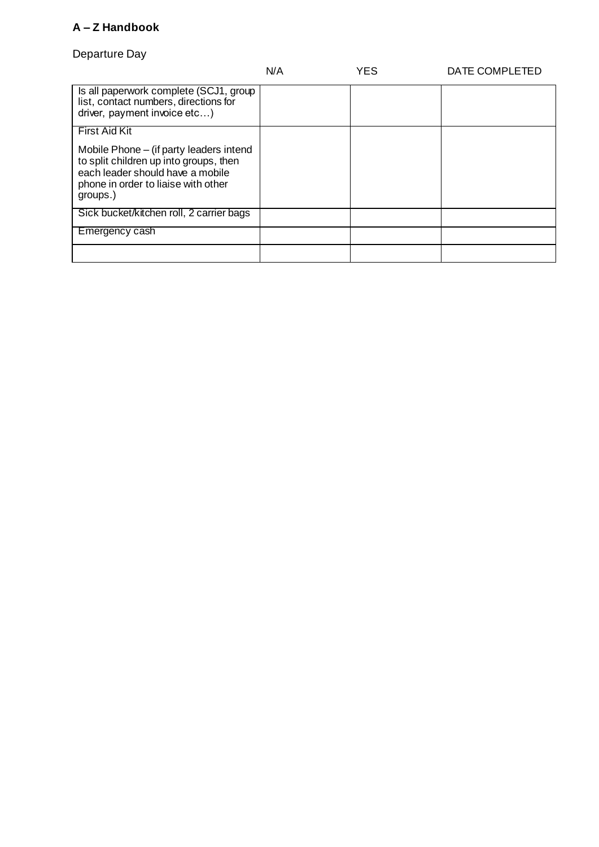# Departure Day

|                                                                                                                                                                          | N/A | <b>YES</b> | DATE COMPLETED |
|--------------------------------------------------------------------------------------------------------------------------------------------------------------------------|-----|------------|----------------|
| Is all paperwork complete (SCJ1, group<br>list, contact numbers, directions for<br>driver, payment invoice etc)                                                          |     |            |                |
| <b>First Aid Kit</b>                                                                                                                                                     |     |            |                |
| Mobile Phone – (if party leaders intend<br>to split children up into groups, then<br>each leader should have a mobile<br>phone in order to liaise with other<br>groups.) |     |            |                |
| Sick bucket/kitchen roll, 2 carrier bags                                                                                                                                 |     |            |                |
| Emergency cash                                                                                                                                                           |     |            |                |
|                                                                                                                                                                          |     |            |                |